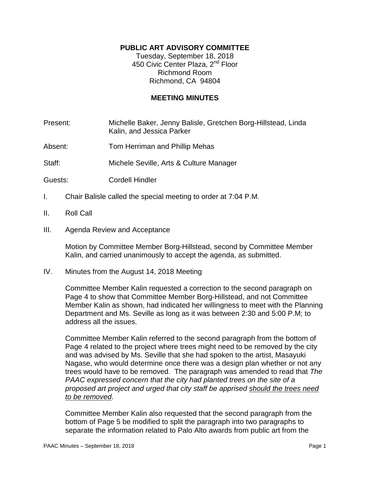# **PUBLIC ART ADVISORY COMMITTEE**

Tuesday, September 18, 2018 450 Civic Center Plaza, 2<sup>nd</sup> Floor Richmond Room Richmond, CA 94804

## **MEETING MINUTES**

Present: Michelle Baker, Jenny Balisle, Gretchen Borg-Hillstead, Linda Kalin, and Jessica Parker

Absent: Tom Herriman and Phillip Mehas

Staff: Michele Seville, Arts & Culture Manager

- Guests: Cordell Hindler
- I. Chair Balisle called the special meeting to order at 7:04 P.M.
- II. Roll Call
- III. Agenda Review and Acceptance

Motion by Committee Member Borg-Hillstead, second by Committee Member Kalin, and carried unanimously to accept the agenda, as submitted.

IV. Minutes from the August 14, 2018 Meeting

Committee Member Kalin requested a correction to the second paragraph on Page 4 to show that Committee Member Borg-Hillstead, and not Committee Member Kalin as shown, had indicated her willingness to meet with the Planning Department and Ms. Seville as long as it was between 2:30 and 5:00 P.M; to address all the issues.

Committee Member Kalin referred to the second paragraph from the bottom of Page 4 related to the project where trees might need to be removed by the city and was advised by Ms. Seville that she had spoken to the artist, Masayuki Nagase, who would determine once there was a design plan whether or not any trees would have to be removed. The paragraph was amended to read that *The PAAC expressed concern that the city had planted trees on the site of a proposed art project and urged that city staff be apprised should the trees need to be removed*.

Committee Member Kalin also requested that the second paragraph from the bottom of Page 5 be modified to split the paragraph into two paragraphs to separate the information related to Palo Alto awards from public art from the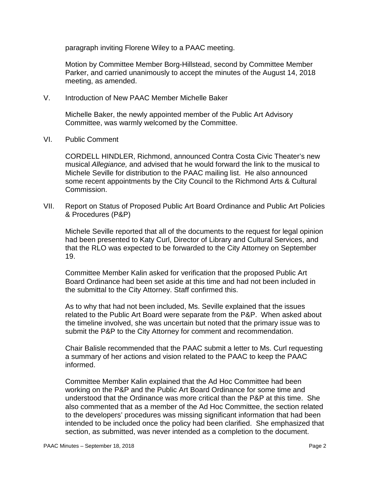paragraph inviting Florene Wiley to a PAAC meeting.

Motion by Committee Member Borg-Hillstead, second by Committee Member Parker, and carried unanimously to accept the minutes of the August 14, 2018 meeting, as amended.

V. Introduction of New PAAC Member Michelle Baker

Michelle Baker, the newly appointed member of the Public Art Advisory Committee, was warmly welcomed by the Committee.

VI. Public Comment

CORDELL HINDLER, Richmond, announced Contra Costa Civic Theater's new musical *Allegiance,* and advised that he would forward the link to the musical to Michele Seville for distribution to the PAAC mailing list. He also announced some recent appointments by the City Council to the Richmond Arts & Cultural Commission.

VII. Report on Status of Proposed Public Art Board Ordinance and Public Art Policies & Procedures (P&P)

Michele Seville reported that all of the documents to the request for legal opinion had been presented to Katy Curl, Director of Library and Cultural Services, and that the RLO was expected to be forwarded to the City Attorney on September 19.

Committee Member Kalin asked for verification that the proposed Public Art Board Ordinance had been set aside at this time and had not been included in the submittal to the City Attorney. Staff confirmed this.

As to why that had not been included, Ms. Seville explained that the issues related to the Public Art Board were separate from the P&P. When asked about the timeline involved, she was uncertain but noted that the primary issue was to submit the P&P to the City Attorney for comment and recommendation.

Chair Balisle recommended that the PAAC submit a letter to Ms. Curl requesting a summary of her actions and vision related to the PAAC to keep the PAAC informed.

Committee Member Kalin explained that the Ad Hoc Committee had been working on the P&P and the Public Art Board Ordinance for some time and understood that the Ordinance was more critical than the P&P at this time. She also commented that as a member of the Ad Hoc Committee, the section related to the developers' procedures was missing significant information that had been intended to be included once the policy had been clarified. She emphasized that section, as submitted, was never intended as a completion to the document.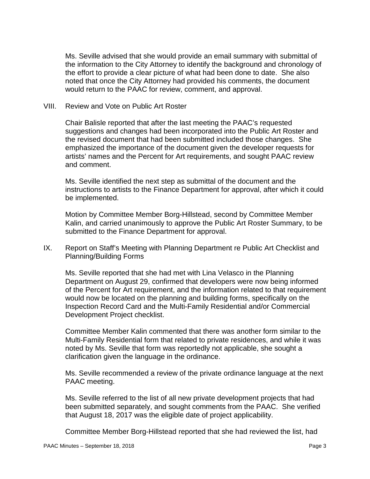Ms. Seville advised that she would provide an email summary with submittal of the information to the City Attorney to identify the background and chronology of the effort to provide a clear picture of what had been done to date. She also noted that once the City Attorney had provided his comments, the document would return to the PAAC for review, comment, and approval.

#### VIII. Review and Vote on Public Art Roster

Chair Balisle reported that after the last meeting the PAAC's requested suggestions and changes had been incorporated into the Public Art Roster and the revised document that had been submitted included those changes. She emphasized the importance of the document given the developer requests for artists' names and the Percent for Art requirements, and sought PAAC review and comment.

Ms. Seville identified the next step as submittal of the document and the instructions to artists to the Finance Department for approval, after which it could be implemented.

Motion by Committee Member Borg-Hillstead, second by Committee Member Kalin, and carried unanimously to approve the Public Art Roster Summary, to be submitted to the Finance Department for approval.

IX. Report on Staff's Meeting with Planning Department re Public Art Checklist and Planning/Building Forms

Ms. Seville reported that she had met with Lina Velasco in the Planning Department on August 29, confirmed that developers were now being informed of the Percent for Art requirement, and the information related to that requirement would now be located on the planning and building forms, specifically on the Inspection Record Card and the Multi-Family Residential and/or Commercial Development Project checklist.

Committee Member Kalin commented that there was another form similar to the Multi-Family Residential form that related to private residences, and while it was noted by Ms. Seville that form was reportedly not applicable, she sought a clarification given the language in the ordinance.

Ms. Seville recommended a review of the private ordinance language at the next PAAC meeting.

Ms. Seville referred to the list of all new private development projects that had been submitted separately, and sought comments from the PAAC. She verified that August 18, 2017 was the eligible date of project applicability.

Committee Member Borg-Hillstead reported that she had reviewed the list, had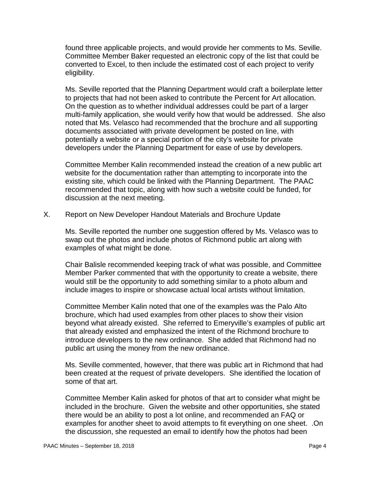found three applicable projects, and would provide her comments to Ms. Seville. Committee Member Baker requested an electronic copy of the list that could be converted to Excel, to then include the estimated cost of each project to verify eligibility.

Ms. Seville reported that the Planning Department would craft a boilerplate letter to projects that had not been asked to contribute the Percent for Art allocation. On the question as to whether individual addresses could be part of a larger multi-family application, she would verify how that would be addressed. She also noted that Ms. Velasco had recommended that the brochure and all supporting documents associated with private development be posted on line, with potentially a website or a special portion of the city's website for private developers under the Planning Department for ease of use by developers.

Committee Member Kalin recommended instead the creation of a new public art website for the documentation rather than attempting to incorporate into the existing site, which could be linked with the Planning Department. The PAAC recommended that topic, along with how such a website could be funded, for discussion at the next meeting.

X. Report on New Developer Handout Materials and Brochure Update

Ms. Seville reported the number one suggestion offered by Ms. Velasco was to swap out the photos and include photos of Richmond public art along with examples of what might be done.

Chair Balisle recommended keeping track of what was possible, and Committee Member Parker commented that with the opportunity to create a website, there would still be the opportunity to add something similar to a photo album and include images to inspire or showcase actual local artists without limitation.

Committee Member Kalin noted that one of the examples was the Palo Alto brochure, which had used examples from other places to show their vision beyond what already existed. She referred to Emeryville's examples of public art that already existed and emphasized the intent of the Richmond brochure to introduce developers to the new ordinance. She added that Richmond had no public art using the money from the new ordinance.

Ms. Seville commented, however, that there was public art in Richmond that had been created at the request of private developers. She identified the location of some of that art.

Committee Member Kalin asked for photos of that art to consider what might be included in the brochure. Given the website and other opportunities, she stated there would be an ability to post a lot online, and recommended an FAQ or examples for another sheet to avoid attempts to fit everything on one sheet. .On the discussion, she requested an email to identify how the photos had been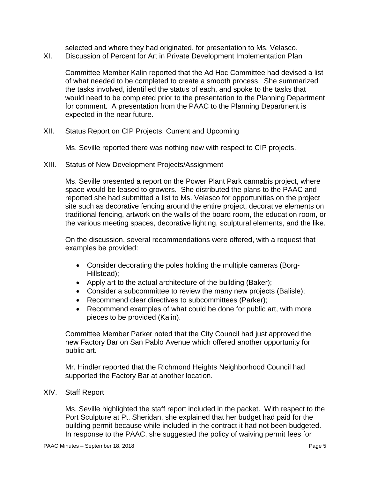selected and where they had originated, for presentation to Ms. Velasco.

XI. Discussion of Percent for Art in Private Development Implementation Plan

Committee Member Kalin reported that the Ad Hoc Committee had devised a list of what needed to be completed to create a smooth process. She summarized the tasks involved, identified the status of each, and spoke to the tasks that would need to be completed prior to the presentation to the Planning Department for comment. A presentation from the PAAC to the Planning Department is expected in the near future.

XII. Status Report on CIP Projects, Current and Upcoming

Ms. Seville reported there was nothing new with respect to CIP projects.

XIII. Status of New Development Projects/Assignment

Ms. Seville presented a report on the Power Plant Park cannabis project, where space would be leased to growers. She distributed the plans to the PAAC and reported she had submitted a list to Ms. Velasco for opportunities on the project site such as decorative fencing around the entire project, decorative elements on traditional fencing, artwork on the walls of the board room, the education room, or the various meeting spaces, decorative lighting, sculptural elements, and the like.

On the discussion, several recommendations were offered, with a request that examples be provided:

- Consider decorating the poles holding the multiple cameras (Borg-Hillstead):
- Apply art to the actual architecture of the building (Baker);
- Consider a subcommittee to review the many new projects (Balisle);
- Recommend clear directives to subcommittees (Parker);
- Recommend examples of what could be done for public art, with more pieces to be provided (Kalin).

Committee Member Parker noted that the City Council had just approved the new Factory Bar on San Pablo Avenue which offered another opportunity for public art.

Mr. Hindler reported that the Richmond Heights Neighborhood Council had supported the Factory Bar at another location.

## XIV. Staff Report

Ms. Seville highlighted the staff report included in the packet. With respect to the Port Sculpture at Pt. Sheridan, she explained that her budget had paid for the building permit because while included in the contract it had not been budgeted. In response to the PAAC, she suggested the policy of waiving permit fees for